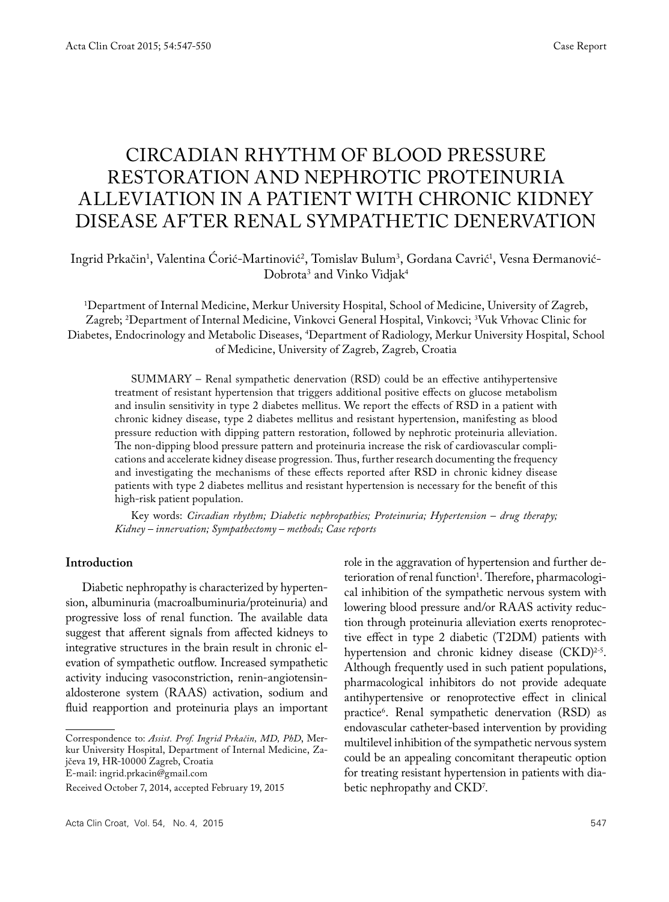# CIRCADIAN RHYTHM OF BLOOD PRESSURE RESTORATION AND NEPHROTIC PROTEINURIA ALLEVIATION IN A PATIENT WITH CHRONIC KIDNEY DISEASE AFTER RENAL SYMPATHETIC DENERVATION

## Ingrid Prkačin<sup>1</sup>, Valentina Corić-Martinović<sup>2</sup>, Tomislav Bulum<sup>3</sup>, Gordana Cavrić<sup>1</sup>, Vesna Đermanović-Dobrota<sup>3</sup> and Vinko Vidjak<sup>4</sup>

1 Department of Internal Medicine, Merkur University Hospital, School of Medicine, University of Zagreb, Zagreb; 2 Department of Internal Medicine, Vinkovci General Hospital, Vinkovci; 3 Vuk Vrhovac Clinic for Diabetes, Endocrinology and Metabolic Diseases, 4 Department of Radiology, Merkur University Hospital, School of Medicine, University of Zagreb, Zagreb, Croatia

SUMMARY – Renal sympathetic denervation (RSD) could be an effective antihypertensive treatment of resistant hypertension that triggers additional positive effects on glucose metabolism and insulin sensitivity in type 2 diabetes mellitus. We report the effects of RSD in a patient with chronic kidney disease, type 2 diabetes mellitus and resistant hypertension, manifesting as blood pressure reduction with dipping pattern restoration, followed by nephrotic proteinuria alleviation. The non-dipping blood pressure pattern and proteinuria increase the risk of cardiovascular complications and accelerate kidney disease progression. Thus, further research documenting the frequency and investigating the mechanisms of these effects reported after RSD in chronic kidney disease patients with type 2 diabetes mellitus and resistant hypertension is necessary for the benefit of this high-risk patient population.

Key words: *Circadian rhythm; Diabetic nephropathies; Proteinuria; Hypertension – drug therapy; Kidney – innervation; Sympathectomy – methods; Case reports*

#### **Introduction**

Diabetic nephropathy is characterized by hypertension, albuminuria (macroalbuminuria/proteinuria) and progressive loss of renal function. The available data suggest that afferent signals from affected kidneys to integrative structures in the brain result in chronic elevation of sympathetic outflow. Increased sympathetic activity inducing vasoconstriction, renin-angiotensinaldosterone system (RAAS) activation, sodium and fluid reapportion and proteinuria plays an important

Received October 7, 2014, accepted February 19, 2015

Acta Clin Croat, Vol. 54, No. 4, 2015 **547 547** 

role in the aggravation of hypertension and further deterioration of renal function<sup>1</sup>. Therefore, pharmacological inhibition of the sympathetic nervous system with lowering blood pressure and/or RAAS activity reduction through proteinuria alleviation exerts renoprotective effect in type 2 diabetic (T2DM) patients with hypertension and chronic kidney disease (CKD)<sup>2-5</sup>. Although frequently used in such patient populations, pharmacological inhibitors do not provide adequate antihypertensive or renoprotective effect in clinical practice6 . Renal sympathetic denervation (RSD) as endovascular catheter-based intervention by providing multilevel inhibition of the sympathetic nervous system could be an appealing concomitant therapeutic option for treating resistant hypertension in patients with diabetic nephropathy and CKD7 .

Correspondence to: *Assist. Prof. Ingrid Prkačin, MD, PhD*, Merkur University Hospital, Department of Internal Medicine, Zajčeva 19, HR-10000 Zagreb, Croatia E-mail: ingrid.prkacin@gmail.com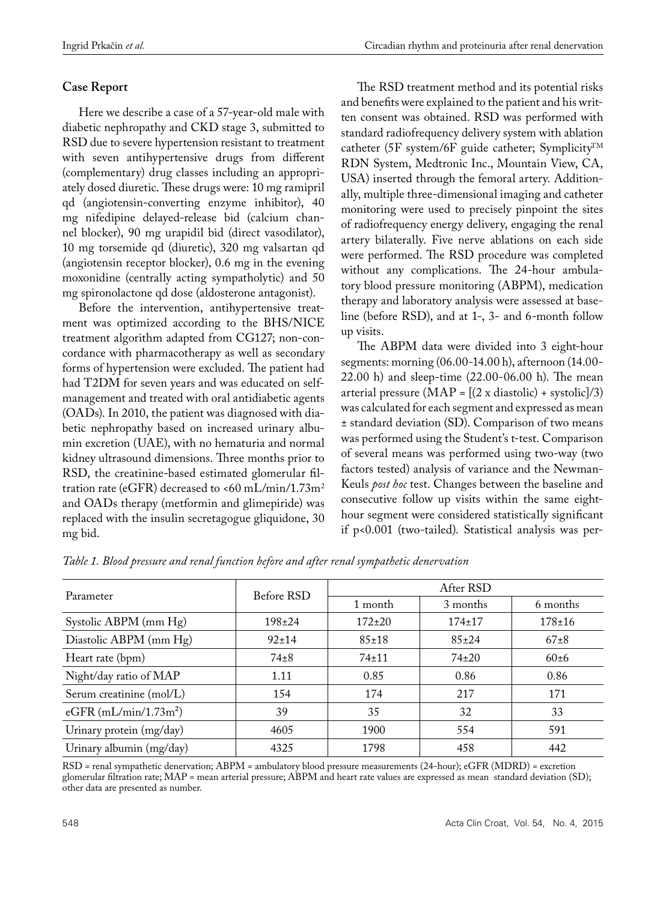# **Case Report**

Here we describe a case of a 57-year-old male with diabetic nephropathy and CKD stage 3, submitted to RSD due to severe hypertension resistant to treatment with seven antihypertensive drugs from different (complementary) drug classes including an appropriately dosed diuretic. These drugs were: 10 mg ramipril qd (angiotensin-converting enzyme inhibitor), 40 mg nifedipine delayed-release bid (calcium channel blocker), 90 mg urapidil bid (direct vasodilator), 10 mg torsemide qd (diuretic), 320 mg valsartan qd (angiotensin receptor blocker), 0.6 mg in the evening moxonidine (centrally acting sympatholytic) and 50 mg spironolactone qd dose (aldosterone antagonist).

Before the intervention, antihypertensive treatment was optimized according to the BHS/NICE treatment algorithm adapted from CG127; non-concordance with pharmacotherapy as well as secondary forms of hypertension were excluded. The patient had had T2DM for seven years and was educated on selfmanagement and treated with oral antidiabetic agents (OADs). In 2010, the patient was diagnosed with diabetic nephropathy based on increased urinary albumin excretion (UAE), with no hematuria and normal kidney ultrasound dimensions. Three months prior to RSD, the creatinine-based estimated glomerular filtration rate (eGFR) decreased to <60 mL/min/1.73m<sup>2</sup> and OADs therapy (metformin and glimepiride) was replaced with the insulin secretagogue gliquidone, 30 mg bid.

The RSD treatment method and its potential risks and benefits were explained to the patient and his written consent was obtained. RSD was performed with standard radiofrequency delivery system with ablation catheter (5F system/6F guide catheter; Symplicity<sup>TM</sup> RDN System, Medtronic Inc., Mountain View, CA, USA) inserted through the femoral artery. Additionally, multiple three-dimensional imaging and catheter monitoring were used to precisely pinpoint the sites of radiofrequency energy delivery, engaging the renal artery bilaterally. Five nerve ablations on each side were performed. The RSD procedure was completed without any complications. The 24-hour ambulatory blood pressure monitoring (ABPM), medication therapy and laboratory analysis were assessed at baseline (before RSD), and at 1-, 3- and 6-month follow up visits.

The ABPM data were divided into 3 eight-hour segments: morning (06.00-14.00 h), afternoon (14.00- 22.00 h) and sleep-time (22.00-06.00 h). The mean arterial pressure  $(MAP = [(2 \times diastolic) + systolic]/3)$ was calculated for each segment and expressed as mean ± standard deviation (SD). Comparison of two means was performed using the Student's t-test. Comparison of several means was performed using two-way (two factors tested) analysis of variance and the Newman-Keuls *post hoc* test. Changes between the baseline and consecutive follow up visits within the same eighthour segment were considered statistically significant if p<0.001 (two-tailed). Statistical analysis was per-

| Parameter                | Before RSD   | After RSD    |              |              |
|--------------------------|--------------|--------------|--------------|--------------|
|                          |              | 1 month      | 3 months     | 6 months     |
| Systolic ABPM (mm Hg)    | $198 \pm 24$ | $172 \pm 20$ | $174 \pm 17$ | $178 \pm 16$ |
| Diastolic ABPM (mm Hg)   | $92 \pm 14$  | $85 \pm 18$  | $85+24$      | $67+8$       |
| Heart rate (bpm)         | $74 \pm 8$   | $74 \pm 11$  | $74 \pm 20$  | $60 \pm 6$   |
| Night/day ratio of MAP   | 1.11         | 0.85         | 0.86         | 0.86         |
| Serum creatinine (mol/L) | 154          | 174          | 217          | 171          |
| eGFR $(mL/min/1.73m2)$   | 39           | 35           | 32           | 33           |
| Urinary protein (mg/day) | 4605         | 1900         | 554          | 591          |
| Urinary albumin (mg/day) | 4325         | 1798         | 458          | 442          |

*Table 1. Blood pressure and renal function before and after renal sympathetic denervation*

RSD = renal sympathetic denervation; ABPM = ambulatory blood pressure measurements (24-hour); eGFR (MDRD) = excretion glomerular filtration rate; MAP = mean arterial pressure; ABPM and heart rate values are expressed as mean standard deviation (SD); other data are presented as number.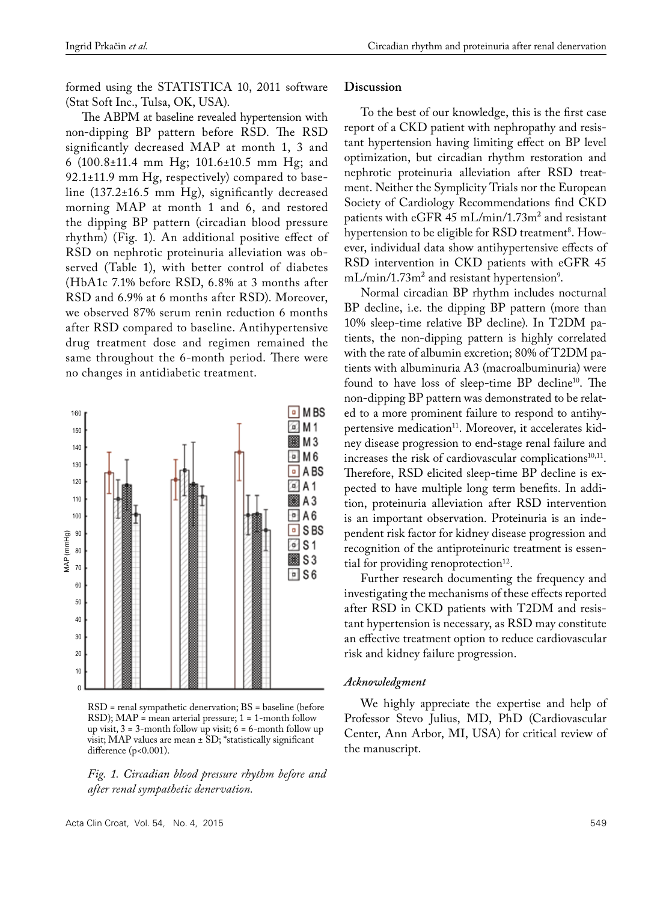formed using the STATISTICA 10, 2011 software (Stat Soft Inc., Tulsa, OK, USA).

The ABPM at baseline revealed hypertension with non-dipping BP pattern before RSD. The RSD significantly decreased MAP at month 1, 3 and 6 (100.8±11.4 mm Hg; 101.6±10.5 mm Hg; and 92.1±11.9 mm Hg, respectively) compared to baseline (137.2±16.5 mm Hg), significantly decreased morning MAP at month 1 and 6, and restored the dipping BP pattern (circadian blood pressure rhythm) (Fig. 1). An additional positive effect of RSD on nephrotic proteinuria alleviation was observed (Table 1), with better control of diabetes (HbA1c 7.1% before RSD, 6.8% at 3 months after RSD and 6.9% at 6 months after RSD). Moreover, we observed 87% serum renin reduction 6 months after RSD compared to baseline. Antihypertensive drug treatment dose and regimen remained the same throughout the 6-month period. There were no changes in antidiabetic treatment.



RSD = renal sympathetic denervation; BS = baseline (before RSD); MAP = mean arterial pressure; 1 = 1-month follow up visit,  $3 = 3$ -month follow up visit;  $6 = 6$ -month follow up visit; MAP values are mean ± SD; \*statistically significant difference (p<0.001).

*Fig. 1. Circadian blood pressure rhythm before and after renal sympathetic denervation.* 

#### **Discussion**

To the best of our knowledge, this is the first case report of a CKD patient with nephropathy and resistant hypertension having limiting effect on BP level optimization, but circadian rhythm restoration and nephrotic proteinuria alleviation after RSD treatment. Neither the Symplicity Trials nor the European Society of Cardiology Recommendations find CKD patients with eGFR 45 mL/min/1.73m<sup>2</sup> and resistant hypertension to be eligible for  $\operatorname{RSD}$  treatment $^{\mathrm{s}}$ . However, individual data show antihypertensive effects of RSD intervention in CKD patients with eGFR 45  $\rm mL/min/1.73m^{2}$  and resistant hypertension<sup>9</sup>.

Normal circadian BP rhythm includes nocturnal BP decline, i.e. the dipping BP pattern (more than 10% sleep-time relative BP decline). In T2DM patients, the non-dipping pattern is highly correlated with the rate of albumin excretion; 80% of T2DM patients with albuminuria A3 (macroalbuminuria) were found to have loss of sleep-time BP decline10. The non-dipping BP pattern was demonstrated to be related to a more prominent failure to respond to antihypertensive medication<sup>11</sup>. Moreover, it accelerates kidney disease progression to end-stage renal failure and increases the risk of cardiovascular complications<sup>10,11</sup>. Therefore, RSD elicited sleep-time BP decline is expected to have multiple long term benefits. In addition, proteinuria alleviation after RSD intervention is an important observation. Proteinuria is an independent risk factor for kidney disease progression and recognition of the antiproteinuric treatment is essential for providing renoprotection $12$ .

Further research documenting the frequency and investigating the mechanisms of these effects reported after RSD in CKD patients with T2DM and resistant hypertension is necessary, as RSD may constitute an effective treatment option to reduce cardiovascular risk and kidney failure progression.

#### *Acknowledgment*

We highly appreciate the expertise and help of Professor Stevo Julius, MD, PhD (Cardiovascular Center, Ann Arbor, MI, USA) for critical review of the manuscript.